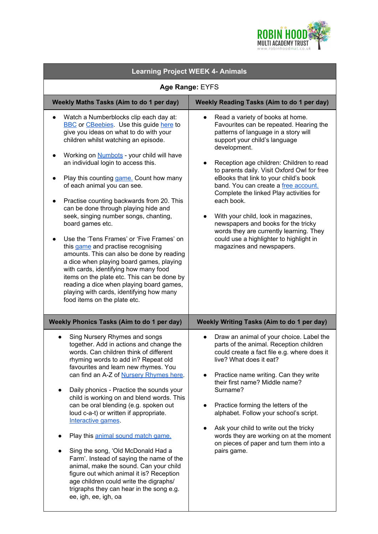

| <b>Learning Project WEEK 4- Animals</b>                                                                                                                                                                                                                                                                                                                                                                                                                                                                                                                                                                                                                                                                                                                                                                                                                                                                    |                                                                                                                                                                                                                                                                                                                                                                                                                                                                                                                                                                                                            |
|------------------------------------------------------------------------------------------------------------------------------------------------------------------------------------------------------------------------------------------------------------------------------------------------------------------------------------------------------------------------------------------------------------------------------------------------------------------------------------------------------------------------------------------------------------------------------------------------------------------------------------------------------------------------------------------------------------------------------------------------------------------------------------------------------------------------------------------------------------------------------------------------------------|------------------------------------------------------------------------------------------------------------------------------------------------------------------------------------------------------------------------------------------------------------------------------------------------------------------------------------------------------------------------------------------------------------------------------------------------------------------------------------------------------------------------------------------------------------------------------------------------------------|
| Age Range: EYFS                                                                                                                                                                                                                                                                                                                                                                                                                                                                                                                                                                                                                                                                                                                                                                                                                                                                                            |                                                                                                                                                                                                                                                                                                                                                                                                                                                                                                                                                                                                            |
| Weekly Maths Tasks (Aim to do 1 per day)                                                                                                                                                                                                                                                                                                                                                                                                                                                                                                                                                                                                                                                                                                                                                                                                                                                                   | <b>Weekly Reading Tasks (Aim to do 1 per day)</b>                                                                                                                                                                                                                                                                                                                                                                                                                                                                                                                                                          |
| Watch a Numberblocks clip each day at:<br>$\bullet$<br><b>BBC</b> or CBeebies. Use this guide here to<br>give you ideas on what to do with your<br>children whilst watching an episode.<br>Working on <b>Numbots</b> - your child will have<br>an individual login to access this.<br>Play this counting game. Count how many<br>of each animal you can see.<br>Practise counting backwards from 20. This<br>can be done through playing hide and<br>seek, singing number songs, chanting,<br>board games etc.<br>Use the 'Tens Frames' or 'Five Frames' on<br>this game and practise recognising<br>amounts. This can also be done by reading<br>a dice when playing board games, playing<br>with cards, identifying how many food<br>items on the plate etc. This can be done by<br>reading a dice when playing board games,<br>playing with cards, identifying how many<br>food items on the plate etc. | Read a variety of books at home.<br>Favourites can be repeated. Hearing the<br>patterns of language in a story will<br>support your child's language<br>development.<br>Reception age children: Children to read<br>to parents daily. Visit Oxford Owl for free<br>eBooks that link to your child's book<br>band. You can create a free account.<br>Complete the linked Play activities for<br>each book.<br>With your child, look in magazines,<br>newspapers and books for the tricky<br>words they are currently learning. They<br>could use a highlighter to highlight in<br>magazines and newspapers. |
| <b>Weekly Phonics Tasks (Aim to do 1 per day)</b>                                                                                                                                                                                                                                                                                                                                                                                                                                                                                                                                                                                                                                                                                                                                                                                                                                                          | Weekly Writing Tasks (Aim to do 1 per day)                                                                                                                                                                                                                                                                                                                                                                                                                                                                                                                                                                 |
| Sing Nursery Rhymes and songs<br>together. Add in actions and change the<br>words. Can children think of different<br>rhyming words to add in? Repeat old<br>favourites and learn new rhymes. You<br>can find an A-Z of Nursery Rhymes here.<br>Daily phonics - Practice the sounds your<br>$\bullet$<br>child is working on and blend words. This<br>can be oral blending (e.g. spoken out<br>loud c-a-t) or written if appropriate.<br>Interactive games.<br>Play this animal sound match game.<br>Sing the song, 'Old McDonald Had a<br>Farm'. Instead of saying the name of the<br>animal, make the sound. Can your child<br>figure out which animal it is? Reception<br>age children could write the digraphs/<br>trigraphs they can hear in the song e.g.<br>ee, igh, ee, igh, oa                                                                                                                    | Draw an animal of your choice. Label the<br>parts of the animal. Reception children<br>could create a fact file e.g. where does it<br>live? What does it eat?<br>Practice name writing. Can they write<br>$\bullet$<br>their first name? Middle name?<br>Surname?<br>Practice forming the letters of the<br>$\bullet$<br>alphabet. Follow your school's script.<br>Ask your child to write out the tricky<br>words they are working on at the moment<br>on pieces of paper and turn them into a<br>pairs game.                                                                                             |